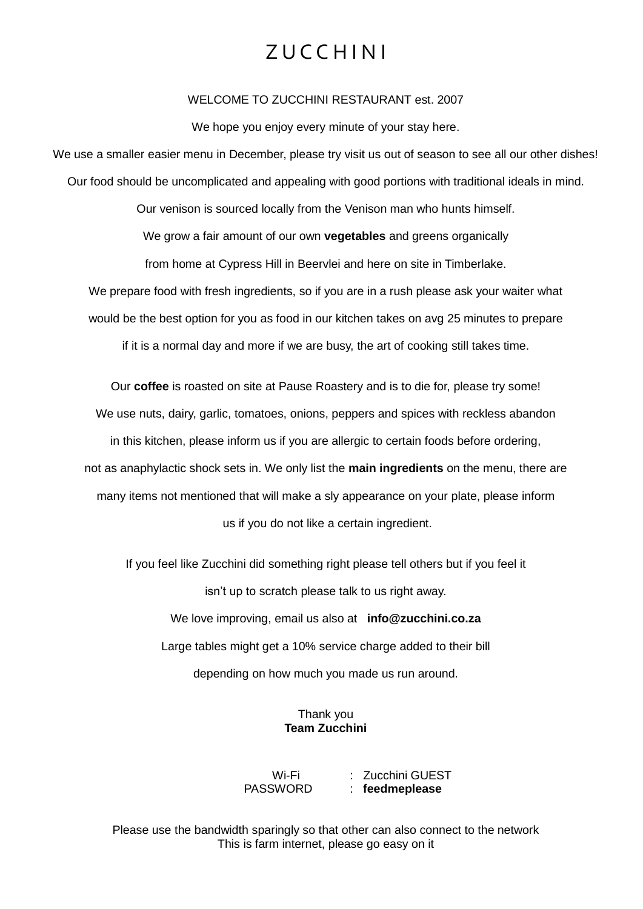## Z U C C H I N I

#### WELCOME TO ZUCCHINI RESTAURANT est. 2007

We hope you enjoy every minute of your stay here.

We use a smaller easier menu in December, please try visit us out of season to see all our other dishes! Our food should be uncomplicated and appealing with good portions with traditional ideals in mind.

Our venison is sourced locally from the Venison man who hunts himself. We grow a fair amount of our own **vegetables** and greens organically from home at Cypress Hill in Beervlei and here on site in Timberlake. We prepare food with fresh ingredients, so if you are in a rush please ask your waiter what

would be the best option for you as food in our kitchen takes on avg 25 minutes to prepare

if it is a normal day and more if we are busy, the art of cooking still takes time.

Our **coffee** is roasted on site at Pause Roastery and is to die for, please try some! We use nuts, dairy, garlic, tomatoes, onions, peppers and spices with reckless abandon in this kitchen, please inform us if you are allergic to certain foods before ordering, not as anaphylactic shock sets in. We only list the **main ingredients** on the menu, there are many items not mentioned that will make a sly appearance on your plate, please inform us if you do not like a certain ingredient.

If you feel like Zucchini did something right please tell others but if you feel it isn't up to scratch please talk to us right away. We love improving, email us also at **info@zucchini.co.za** Large tables might get a 10% service charge added to their bill depending on how much you made us run around.

> Thank you **Team Zucchini**

Wi-Fi : Zucchini GUEST PASSWORD : **feedmeplease**

Please use the bandwidth sparingly so that other can also connect to the network This is farm internet, please go easy on it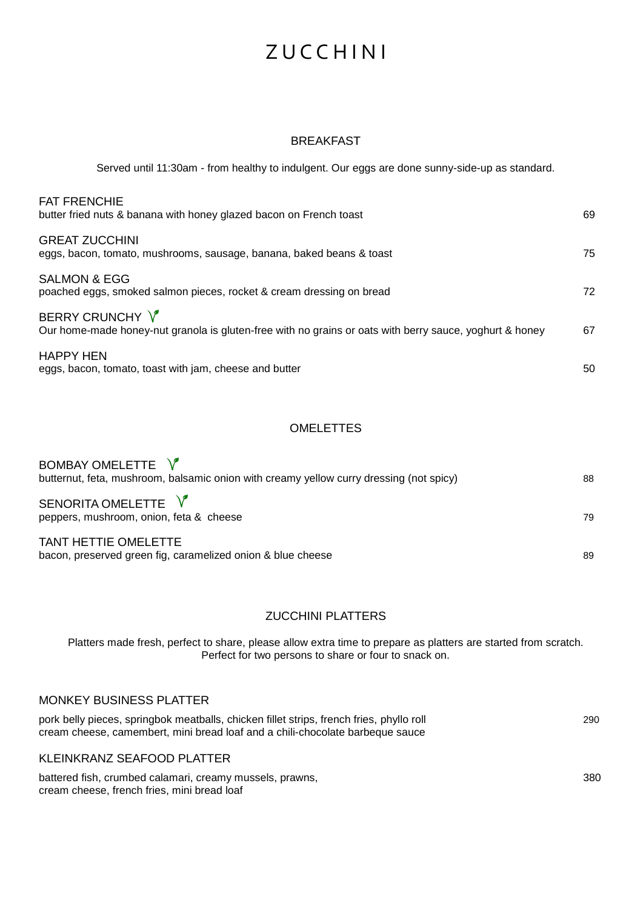#### BREAKFAST

Served until 11:30am - from healthy to indulgent. Our eggs are done sunny-side-up as standard.

| <b>FAT FRENCHIE</b><br>butter fried nuts & banana with honey glazed bacon on French toast                                  | 69 |
|----------------------------------------------------------------------------------------------------------------------------|----|
| <b>GREAT ZUCCHINI</b><br>eggs, bacon, tomato, mushrooms, sausage, banana, baked beans & toast                              | 75 |
| <b>SALMON &amp; EGG</b><br>poached eggs, smoked salmon pieces, rocket & cream dressing on bread                            | 72 |
| BERRY CRUNCHY V<br>Our home-made honey-nut granola is gluten-free with no grains or oats with berry sauce, yoghurt & honey | 67 |
| <b>HAPPY HEN</b><br>eggs, bacon, tomato, toast with jam, cheese and butter                                                 | 50 |

### **OMELETTES**

| BOMBAY OMELETTE V<br>butternut, feta, mushroom, balsamic onion with creamy yellow curry dressing (not spicy) | 88 |
|--------------------------------------------------------------------------------------------------------------|----|
| SENORITA OMELETTE V<br>peppers, mushroom, onion, feta & cheese                                               | 79 |
| <b>TANT HETTIE OMELETTE</b><br>bacon, preserved green fig, caramelized onion & blue cheese                   | 89 |

### ZUCCHINI PLATTERS

Platters made fresh, perfect to share, please allow extra time to prepare as platters are started from scratch. Perfect for two persons to share or four to snack on.

#### MONKEY BUSINESS PLATTER

| pork belly pieces, springbok meatballs, chicken fillet strips, french fries, phyllo roll | 290 |
|------------------------------------------------------------------------------------------|-----|
| cream cheese, camembert, mini bread loaf and a chili-chocolate barbeque sauce            |     |
|                                                                                          |     |
| KLEINKRANZ SEAFOOD PLATTER                                                               |     |

battered fish, crumbed calamari, creamy mussels, prawns, 380 380 cream cheese, french fries, mini bread loaf

 $\mathbf{v}$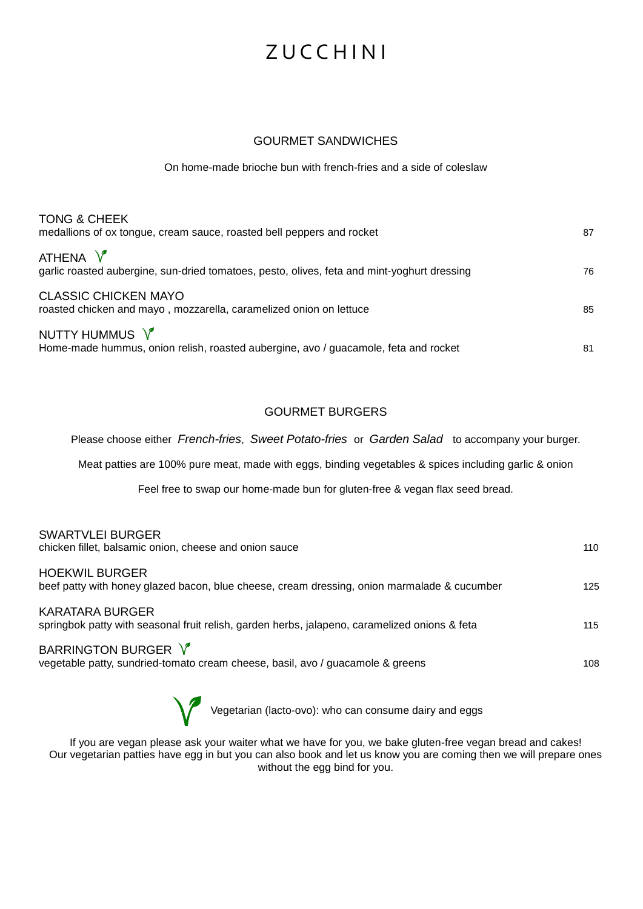#### GOURMET SANDWICHES

On home-made brioche bun with french-fries and a side of coleslaw

| <b>TONG &amp; CHEEK</b><br>medallions of ox tongue, cream sauce, roasted bell peppers and rocket        | 87 |
|---------------------------------------------------------------------------------------------------------|----|
| ATHENA V<br>garlic roasted aubergine, sun-dried tomatoes, pesto, olives, feta and mint-yoghurt dressing | 76 |
| <b>CLASSIC CHICKEN MAYO</b><br>roasted chicken and mayo, mozzarella, caramelized onion on lettuce       | 85 |
| NUTTY HUMMUS V<br>Home-made hummus, onion relish, roasted aubergine, avo / guacamole, feta and rocket   | 81 |

### GOURMET BURGERS

Please choose either *French-fries*, *Sweet Potato-fries* or *Garden Salad* to accompany your burger.

Meat patties are 100% pure meat, made with eggs, binding vegetables & spices including garlic & onion

Feel free to swap our home-made bun for gluten-free & vegan flax seed bread.

SWARTVLEI BURGER

| OWART VLEI DURUER<br>chicken fillet, balsamic onion, cheese and onion sauce                                          | 110 |
|----------------------------------------------------------------------------------------------------------------------|-----|
| <b>HOEKWIL BURGER</b><br>beef patty with honey glazed bacon, blue cheese, cream dressing, onion marmalade & cucumber | 125 |
| KARATARA BURGER<br>springbok patty with seasonal fruit relish, garden herbs, jalapeno, caramelized onions & feta     | 115 |
| BARRINGTON BURGER V<br>vegetable patty, sundried-tomato cream cheese, basil, avo / guacamole & greens                | 108 |

Vegetarian (lacto-ovo): who can consume dairy and eggs

If you are vegan please ask your waiter what we have for you, we bake gluten-free vegan bread and cakes! Our vegetarian patties have egg in but you can also book and let us know you are coming then we will prepare ones without the egg bind for you.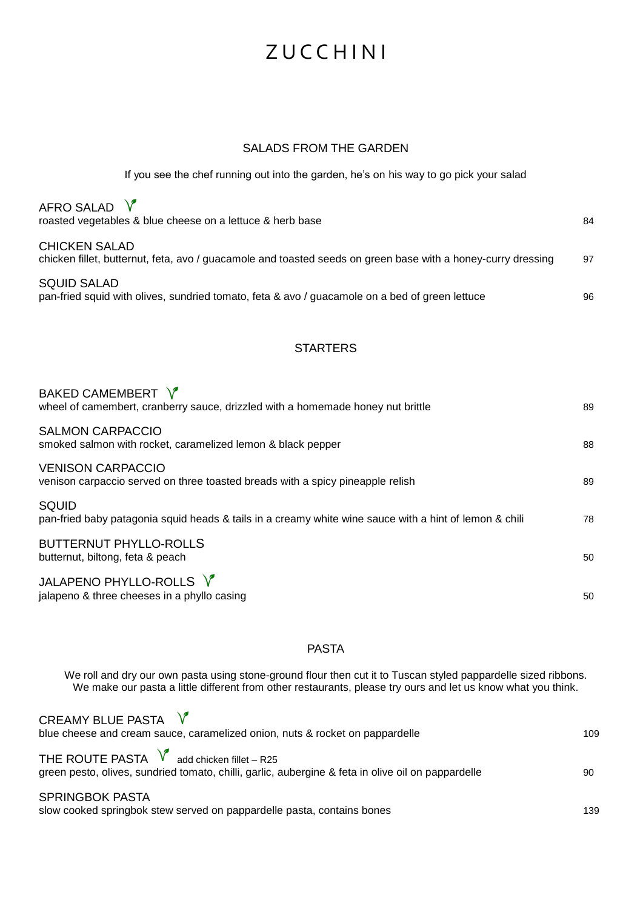#### SALADS FROM THE GARDEN

If you see the chef running out into the garden, he's on his way to go pick your salad

| AFRO SALAD $V$<br>roasted vegetables & blue cheese on a lettuce & herb base                                                          | 84 |
|--------------------------------------------------------------------------------------------------------------------------------------|----|
| <b>CHICKEN SALAD</b><br>chicken fillet, butternut, feta, avo / guacamole and toasted seeds on green base with a honey-curry dressing | 97 |
| <b>SQUID SALAD</b><br>pan-fried squid with olives, sundried tomato, feta & avo / guacamole on a bed of green lettuce                 | 96 |

## **STARTERS**

| BAKED CAMEMBERT V<br>wheel of camembert, cranberry sauce, drizzled with a homemade honey nut brittle            | 89 |
|-----------------------------------------------------------------------------------------------------------------|----|
| <b>SALMON CARPACCIO</b><br>smoked salmon with rocket, caramelized lemon & black pepper                          | 88 |
| <b>VENISON CARPACCIO</b><br>venison carpaccio served on three toasted breads with a spicy pineapple relish      | 89 |
| SQUID<br>pan-fried baby patagonia squid heads & tails in a creamy white wine sauce with a hint of lemon & chili | 78 |
| <b>BUTTERNUT PHYLLO-ROLLS</b><br>butternut, biltong, feta & peach                                               | 50 |
| JALAPENO PHYLLO-ROLLS V<br>jalapeno & three cheeses in a phyllo casing                                          | 50 |

## PASTA

We roll and dry our own pasta using stone-ground flour then cut it to Tuscan styled pappardelle sized ribbons. We make our pasta a little different from other restaurants, please try ours and let us know what you think.

| CREAMY BLUE PASTA $V$<br>blue cheese and cream sauce, caramelized onion, nuts & rocket on pappardelle                                                      | 109 |
|------------------------------------------------------------------------------------------------------------------------------------------------------------|-----|
| THE ROUTE PASTA $\sqrt{\ }$ add chicken fillet – R25<br>green pesto, olives, sundried tomato, chilli, garlic, aubergine & feta in olive oil on pappardelle | 90  |
| <b>SPRINGBOK PASTA</b><br>slow cooked springbok stew served on pappardelle pasta, contains bones                                                           | 139 |